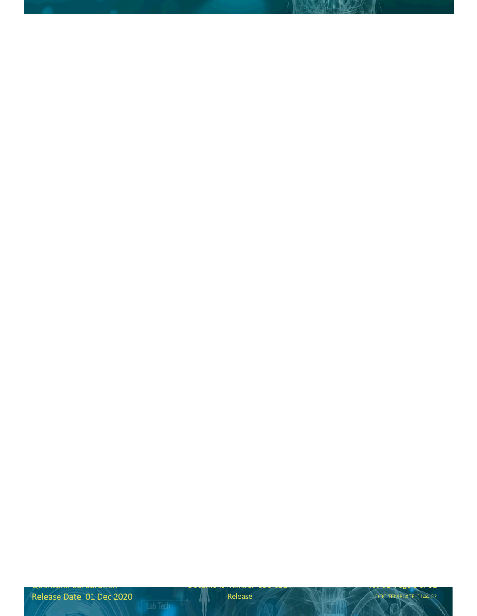Quanterix Corporation Document Number SDS-0214 Rev 01 Page 3 of 31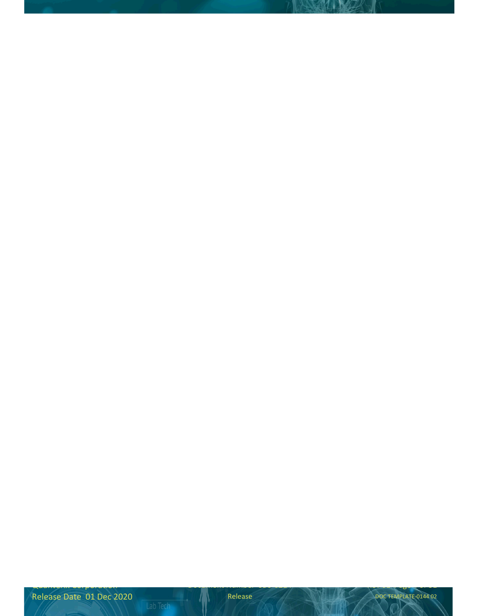Quanterix Corporation Document Number SDS-0214 Rev 01 Page 4 of 31